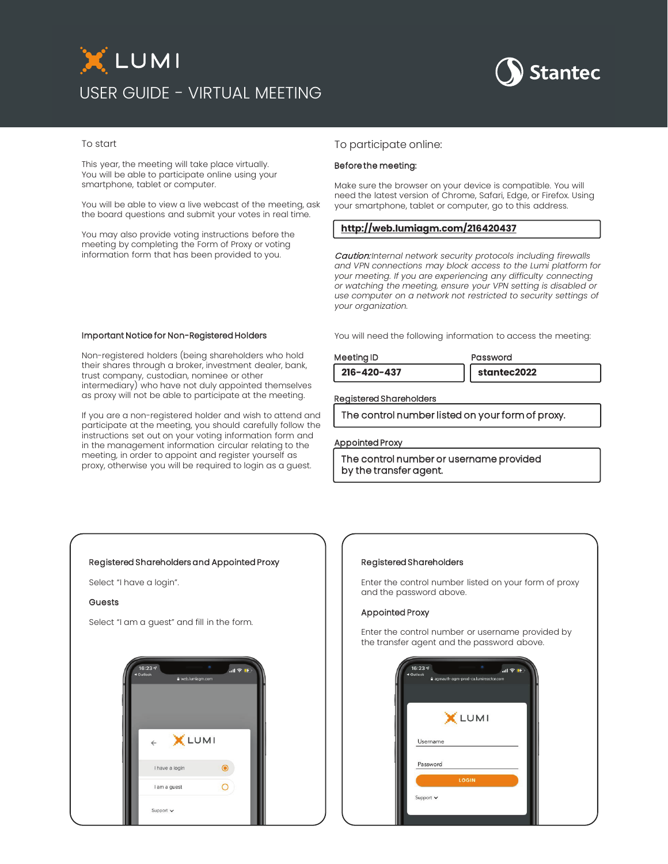# XLUMI USER GUIDE - VIRTUAL MEETING



#### To start

This year, the meeting will take place virtually. You will be able to participate online using your smartphone, tablet or computer.

You will be able to view a live webcast of the meeting, ask the board questions and submit your votes in real time.

You may also provide voting instructions before the meeting by completing the Form of Proxy or voting information form that has been provided to you.

#### To participate online:

#### Before the meeting:

Make sure the browser on your device is compatible. You will need the latest version of Chrome, Safari, Edge, or Firefox. Using your smartphone, tablet or computer, go to this address.

### **<http://web.lumiagm.com/216420437>**

Caution: *Internal network security protocols including firewalls and VPN connections may block access to the Lumi platform for your meeting. If you are experiencing any difficulty connecting or watching the meeting, ensure your VPN setting is disabled or use computer on a network not restricted to security settings of your organization.*

You will need the following information to access the meeting:

## Meeting ID **Password**

**216-420-437 stantec2022**

Registered Shareholders

The control number listed on your form of proxy.

#### Appointed Proxy

The control number or username provided by the transfer agent.

#### Important Notice for Non-Registered Holders

Non-registered holders (being shareholders who hold their shares through a broker, investment dealer, bank, trust company, custodian, nominee or other intermediary) who have not duly appointed themselves as proxy will not be able to participate at the meeting.

If you are a non-registered holder and wish to attend and participate at the meeting, you should carefully follow the instructions set out on your voting information form and in the management information circular relating to the meeting, in order to appoint and register yourself as proxy, otherwise you will be required to login as a guest.

#### Registered Shareholders and Appointed Proxy

Select "I have a login".

#### **Guests**

Select "I am a guest" and fill in the form.



#### Registered Shareholders

Enter the control number listed on your form of proxy and the password above.

#### Appointed Proxy

Enter the control number or username provided by the transfer agent and the password above.

|           | X LUMI |  |
|-----------|--------|--|
| Username  |        |  |
| Password  |        |  |
|           | LOGIN  |  |
| Support v |        |  |